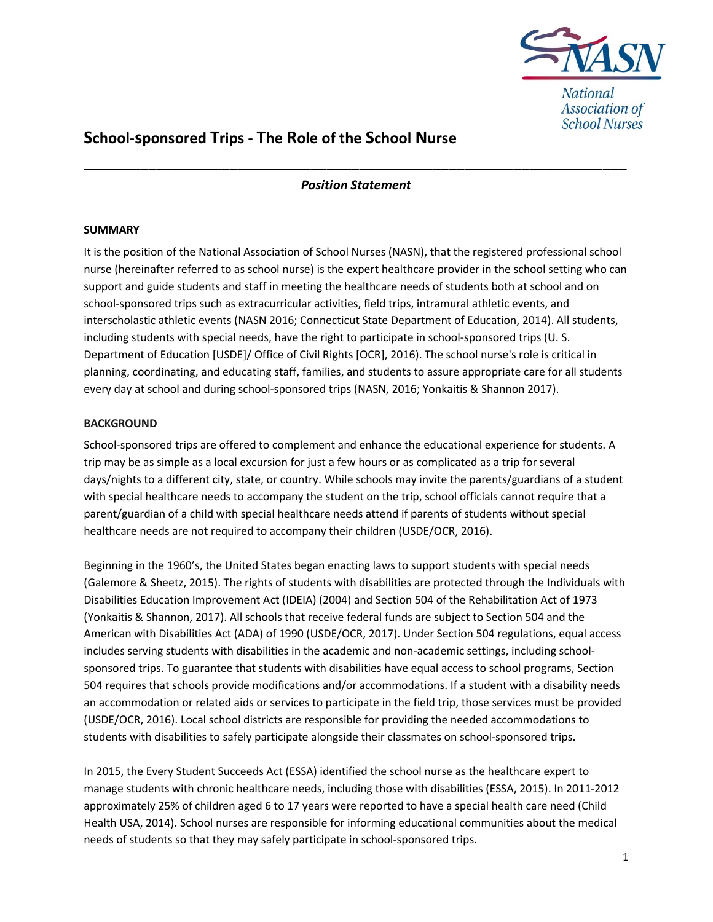

# School-sponsored Trips - The Role of the School Nurse

# \_\_\_\_\_\_\_\_\_\_\_\_\_\_\_\_\_\_\_\_\_\_\_\_\_\_\_\_\_\_\_\_\_\_\_\_\_\_\_\_\_\_\_\_\_\_\_\_\_\_\_\_\_\_\_\_\_\_\_\_\_\_\_\_\_\_\_ Position Statement

### SUMMARY

It is the position of the National Association of School Nurses (NASN), that the registered professional school nurse (hereinafter referred to as school nurse) is the expert healthcare provider in the school setting who can support and guide students and staff in meeting the healthcare needs of students both at school and on school-sponsored trips such as extracurricular activities, field trips, intramural athletic events, and interscholastic athletic events (NASN 2016; Connecticut State Department of Education, 2014). All students, including students with special needs, have the right to participate in school-sponsored trips (U. S. Department of Education [USDE]/ Office of Civil Rights [OCR], 2016). The school nurse's role is critical in planning, coordinating, and educating staff, families, and students to assure appropriate care for all students every day at school and during school-sponsored trips (NASN, 2016; Yonkaitis & Shannon 2017).

## **BACKGROUND**

School-sponsored trips are offered to complement and enhance the educational experience for students. A trip may be as simple as a local excursion for just a few hours or as complicated as a trip for several days/nights to a different city, state, or country. While schools may invite the parents/guardians of a student with special healthcare needs to accompany the student on the trip, school officials cannot require that a parent/guardian of a child with special healthcare needs attend if parents of students without special healthcare needs are not required to accompany their children (USDE/OCR, 2016).

Beginning in the 1960's, the United States began enacting laws to support students with special needs (Galemore & Sheetz, 2015). The rights of students with disabilities are protected through the Individuals with Disabilities Education Improvement Act (IDEIA) (2004) and Section 504 of the Rehabilitation Act of 1973 (Yonkaitis & Shannon, 2017). All schools that receive federal funds are subject to Section 504 and the American with Disabilities Act (ADA) of 1990 (USDE/OCR, 2017). Under Section 504 regulations, equal access includes serving students with disabilities in the academic and non-academic settings, including schoolsponsored trips. To guarantee that students with disabilities have equal access to school programs, Section 504 requires that schools provide modifications and/or accommodations. If a student with a disability needs an accommodation or related aids or services to participate in the field trip, those services must be provided (USDE/OCR, 2016). Local school districts are responsible for providing the needed accommodations to students with disabilities to safely participate alongside their classmates on school-sponsored trips.

In 2015, the Every Student Succeeds Act (ESSA) identified the school nurse as the healthcare expert to manage students with chronic healthcare needs, including those with disabilities (ESSA, 2015). In 2011-2012 approximately 25% of children aged 6 to 17 years were reported to have a special health care need (Child Health USA, 2014). School nurses are responsible for informing educational communities about the medical needs of students so that they may safely participate in school-sponsored trips.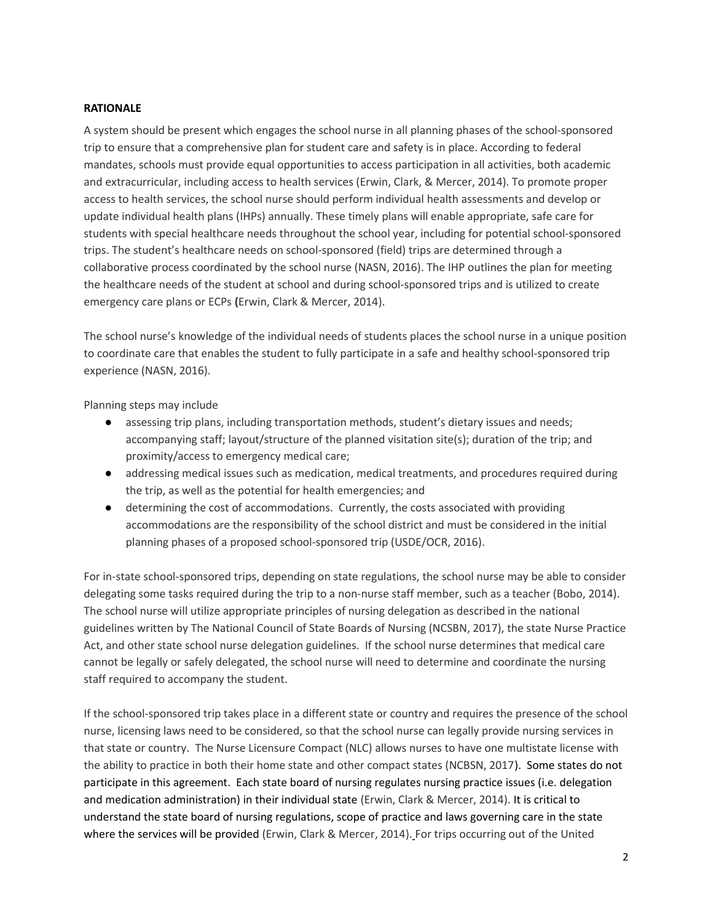#### **RATIONALE**

A system should be present which engages the school nurse in all planning phases of the school-sponsored trip to ensure that a comprehensive plan for student care and safety is in place. According to federal mandates, schools must provide equal opportunities to access participation in all activities, both academic and extracurricular, including access to health services (Erwin, Clark, & Mercer, 2014). To promote proper access to health services, the school nurse should perform individual health assessments and develop or update individual health plans (IHPs) annually. These timely plans will enable appropriate, safe care for students with special healthcare needs throughout the school year, including for potential school-sponsored trips. The student's healthcare needs on school-sponsored (field) trips are determined through a collaborative process coordinated by the school nurse (NASN, 2016). The IHP outlines the plan for meeting the healthcare needs of the student at school and during school-sponsored trips and is utilized to create emergency care plans or ECPs (Erwin, Clark & Mercer, 2014).

The school nurse's knowledge of the individual needs of students places the school nurse in a unique position to coordinate care that enables the student to fully participate in a safe and healthy school-sponsored trip experience (NASN, 2016).

Planning steps may include

- assessing trip plans, including transportation methods, student's dietary issues and needs; accompanying staff; layout/structure of the planned visitation site(s); duration of the trip; and proximity/access to emergency medical care;
- addressing medical issues such as medication, medical treatments, and procedures required during the trip, as well as the potential for health emergencies; and
- determining the cost of accommodations. Currently, the costs associated with providing accommodations are the responsibility of the school district and must be considered in the initial planning phases of a proposed school-sponsored trip (USDE/OCR, 2016).

For in-state school-sponsored trips, depending on state regulations, the school nurse may be able to consider delegating some tasks required during the trip to a non-nurse staff member, such as a teacher (Bobo, 2014). The school nurse will utilize appropriate principles of nursing delegation as described in the national guidelines written by The National Council of State Boards of Nursing (NCSBN, 2017), the state Nurse Practice Act, and other state school nurse delegation guidelines. If the school nurse determines that medical care cannot be legally or safely delegated, the school nurse will need to determine and coordinate the nursing staff required to accompany the student.

If the school-sponsored trip takes place in a different state or country and requires the presence of the school nurse, licensing laws need to be considered, so that the school nurse can legally provide nursing services in that state or country. The Nurse Licensure Compact (NLC) allows nurses to have one multistate license with the ability to practice in both their home state and other compact states (NCBSN, 2017). Some states do not participate in this agreement. Each state board of nursing regulates nursing practice issues (i.e. delegation and medication administration) in their individual state (Erwin, Clark & Mercer, 2014). It is critical to understand the state board of nursing regulations, scope of practice and laws governing care in the state where the services will be provided (Erwin, Clark & Mercer, 2014). For trips occurring out of the United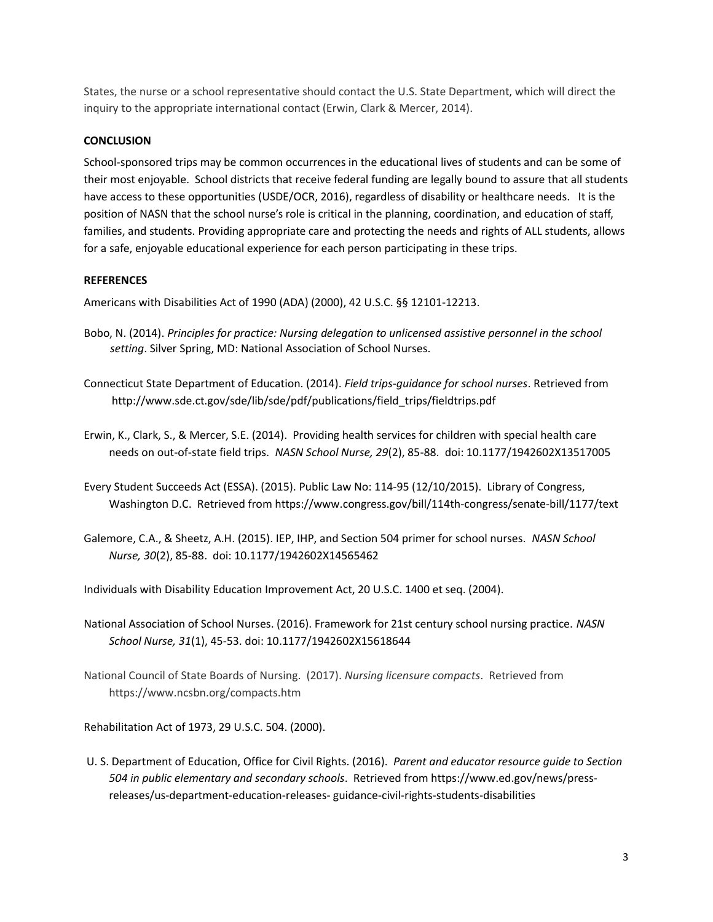States, the nurse or a school representative should contact the U.S. State Department, which will direct the inquiry to the appropriate international contact (Erwin, Clark & Mercer, 2014).

### **CONCLUSION**

School-sponsored trips may be common occurrences in the educational lives of students and can be some of their most enjoyable. School districts that receive federal funding are legally bound to assure that all students have access to these opportunities (USDE/OCR, 2016), regardless of disability or healthcare needs. It is the position of NASN that the school nurse's role is critical in the planning, coordination, and education of staff, families, and students. Providing appropriate care and protecting the needs and rights of ALL students, allows for a safe, enjoyable educational experience for each person participating in these trips.

#### **REFERENCES**

Americans with Disabilities Act of 1990 (ADA) (2000), 42 U.S.C. §§ 12101-12213.

- Bobo, N. (2014). Principles for practice: Nursing delegation to unlicensed assistive personnel in the school setting. Silver Spring, MD: National Association of School Nurses.
- Connecticut State Department of Education. (2014). Field trips-guidance for school nurses. Retrieved from http://www.sde.ct.gov/sde/lib/sde/pdf/publications/field\_trips/fieldtrips.pdf
- Erwin, K., Clark, S., & Mercer, S.E. (2014). Providing health services for children with special health care needs on out-of-state field trips. NASN School Nurse, 29(2), 85-88. doi: 10.1177/1942602X13517005
- Every Student Succeeds Act (ESSA). (2015). Public Law No: 114-95 (12/10/2015). Library of Congress, Washington D.C. Retrieved from https://www.congress.gov/bill/114th-congress/senate-bill/1177/text
- Galemore, C.A., & Sheetz, A.H. (2015). IEP, IHP, and Section 504 primer for school nurses. NASN School Nurse, 30(2), 85-88. doi: 10.1177/1942602X14565462

Individuals with Disability Education Improvement Act, 20 U.S.C. 1400 et seq. (2004).

- National Association of School Nurses. (2016). Framework for 21st century school nursing practice. NASN School Nurse, 31(1), 45-53. doi: 10.1177/1942602X15618644
- National Council of State Boards of Nursing. (2017). Nursing licensure compacts. Retrieved from https://www.ncsbn.org/compacts.htm

Rehabilitation Act of 1973, 29 U.S.C. 504. (2000).

 U. S. Department of Education, Office for Civil Rights. (2016). Parent and educator resource guide to Section 504 in public elementary and secondary schools. Retrieved from https://www.ed.gov/news/pressreleases/us-department-education-releases- guidance-civil-rights-students-disabilities